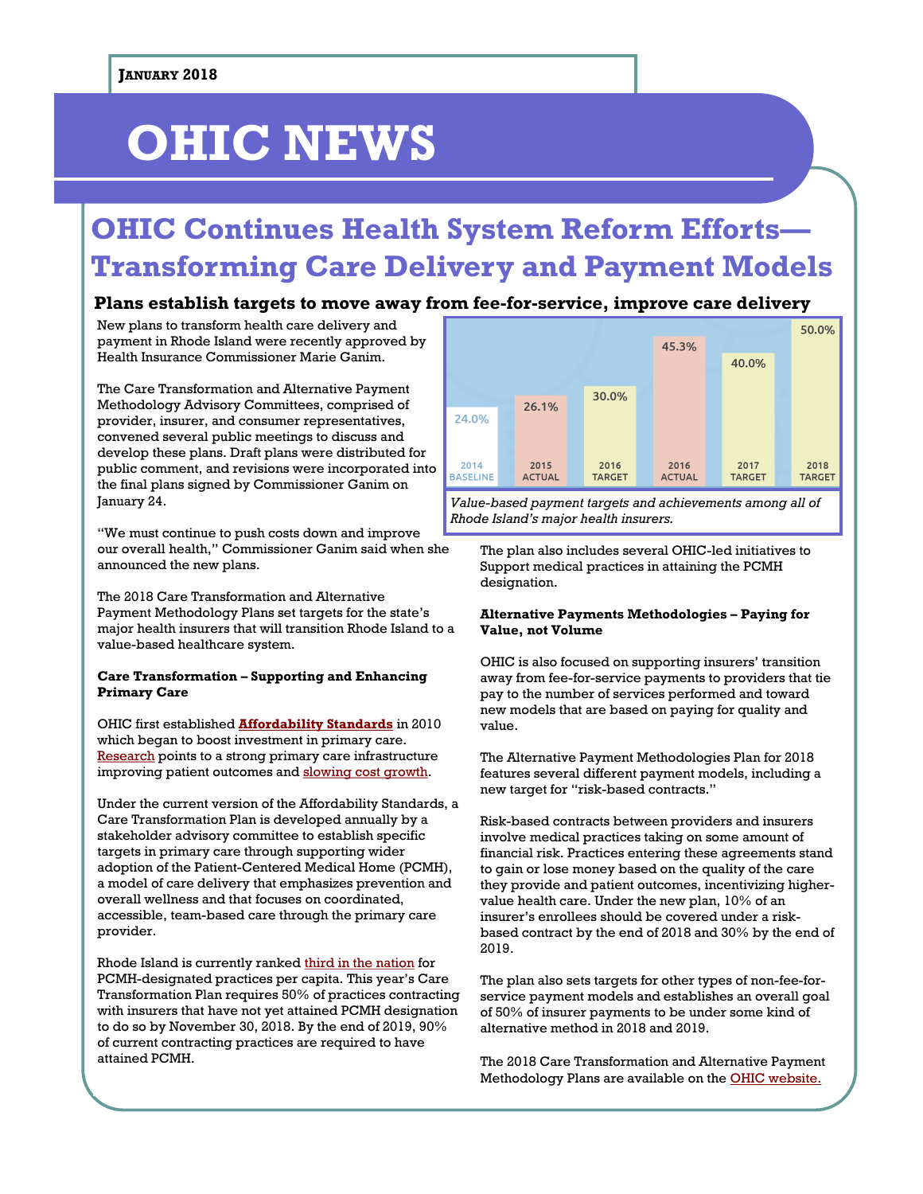# **OHIC NEWS**

## **OHIC Continues Health System Reform Efforts— Transforming Care Delivery and Payment Models**

#### **Plans establish targets to move away from fee-for-service, improve care delivery**

New plans to transform health care delivery and payment in Rhode Island were recently approved by Health Insurance Commissioner Marie Ganim.

The Care Transformation and Alternative Payment Methodology Advisory Committees, comprised of provider, insurer, and consumer representatives, convened several public meetings to discuss and develop these plans. Draft plans were distributed for public comment, and revisions were incorporated into the final plans signed by Commissioner Ganim on January 24.

"We must continue to push costs down and improve our overall health," Commissioner Ganim said when she announced the new plans.

The 2018 Care Transformation and Alternative Payment Methodology Plans set targets for the state's major health insurers that will transition Rhode Island to a value-based healthcare system.

#### **Care Transformation – Supporting and Enhancing Primary Care**

OHIC first established **[Affordability Standards](http://www.ohic.ri.gov/ohic-reformandpolicy-affordability.php)** in 2010 which began to boost investment in primary care. [Research](https://www.healthaffairs.org/do/10.1377/hblog20170510.060008/full/) points to a strong primary care infrastructure improving patient outcomes and [slowing cost growth.](https://pbn.com/primary-care-investment-slowed-rising-health-care-costs-r/)

Under the current version of the Affordability Standards, a Care Transformation Plan is developed annually by a stakeholder advisory committee to establish specific targets in primary care through supporting wider adoption of the Patient-Centered Medical Home (PCMH), a model of care delivery that emphasizes prevention and overall wellness and that focuses on coordinated, accessible, team-based care through the primary care provider.

Rhode Island is currently ranked [third in the nation](http://www.ohic.ri.gov/documents/OHIC-News-September-2017.pdf) for PCMH-designated practices per capita. This year's Care Transformation Plan requires 50% of practices contracting with insurers that have not yet attained PCMH designation to do so by November 30, 2018. By the end of 2019, 90% of current contracting practices are required to have attained PCMH.



*Value-based payment targets and achievements among all of Rhode Island's major health insurers.*

The plan also includes several OHIC-led initiatives to Support medical practices in attaining the PCMH designation.

#### **Alternative Payments Methodologies – Paying for Value, not Volume**

OHIC is also focused on supporting insurers' transition away from fee-for-service payments to providers that tie pay to the number of services performed and toward new models that are based on paying for quality and value.

The Alternative Payment Methodologies Plan for 2018 features several different payment models, including a new target for "risk-based contracts."

Risk-based contracts between providers and insurers involve medical practices taking on some amount of financial risk. Practices entering these agreements stand to gain or lose money based on the quality of the care they provide and patient outcomes, incentivizing highervalue health care. Under the new plan, 10% of an insurer's enrollees should be covered under a riskbased contract by the end of 2018 and 30% by the end of 2019.

The plan also sets targets for other types of non-fee-forservice payment models and establishes an overall goal of 50% of insurer payments to be under some kind of alternative method in 2018 and 2019.

The 2018 Care Transformation and Alternative Payment Methodology Plans are available on the [OHIC website.](http://www.ohic.ri.gov/ohic-reformandpolicy-affordability.php)